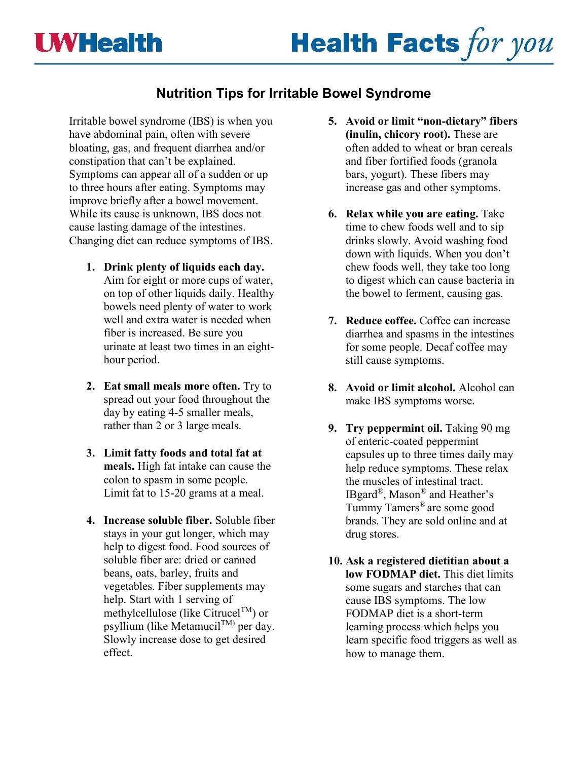# **Nutrition Tips for Irritable Bowel Syndrome**

Irritable bowel syndrome (IBS) is when you have abdominal pain, often with severe bloating, gas, and frequent diarrhea and/or constipation that can't be explained. Symptoms can appear all of a sudden or up to three hours after eating. Symptoms may improve briefly after a bowel movement. While its cause is unknown, IBS does not cause lasting damage of the intestines. Changing diet can reduce symptoms of IBS.

- **1. Drink plenty of liquids each day.** Aim for eight or more cups of water, on top of other liquids daily. Healthy bowels need plenty of water to work well and extra water is needed when fiber is increased. Be sure you urinate at least two times in an eighthour period.
- **2. Eat small meals more often.** Try to spread out your food throughout the day by eating 4-5 smaller meals, rather than 2 or 3 large meals.
- **3. Limit fatty foods and total fat at meals.** High fat intake can cause the colon to spasm in some people. Limit fat to 15-20 grams at a meal.
- **4. Increase soluble fiber.** Soluble fiber stays in your gut longer, which may help to digest food. Food sources of soluble fiber are: dried or canned beans, oats, barley, fruits and vegetables. Fiber supplements may help. Start with 1 serving of methylcellulose (like Citrucel<sup>TM</sup>) or psyllium (like MetamucilTM) per day. Slowly increase dose to get desired effect.
- **5. Avoid or limit "non-dietary" fibers (inulin, chicory root).** These are often added to wheat or bran cereals and fiber fortified foods (granola bars, yogurt). These fibers may increase gas and other symptoms.
- **6. Relax while you are eating.** Take time to chew foods well and to sip drinks slowly. Avoid washing food down with liquids. When you don't chew foods well, they take too long to digest which can cause bacteria in the bowel to ferment, causing gas.
- **7. Reduce coffee.** Coffee can increase diarrhea and spasms in the intestines for some people. Decaf coffee may still cause symptoms.
- **8. Avoid or limit alcohol.** Alcohol can make IBS symptoms worse.
- **9. Try peppermint oil.** Taking 90 mg of enteric-coated peppermint capsules up to three times daily may help reduce symptoms. These relax the muscles of intestinal tract. IBgard®, Mason® and Heather's Tummy Tamers® are some good brands. They are sold online and at drug stores.
- **10. Ask a registered dietitian about a low FODMAP diet.** This diet limits some sugars and starches that can cause IBS symptoms. The low FODMAP diet is a short-term learning process which helps you learn specific food triggers as well as how to manage them.